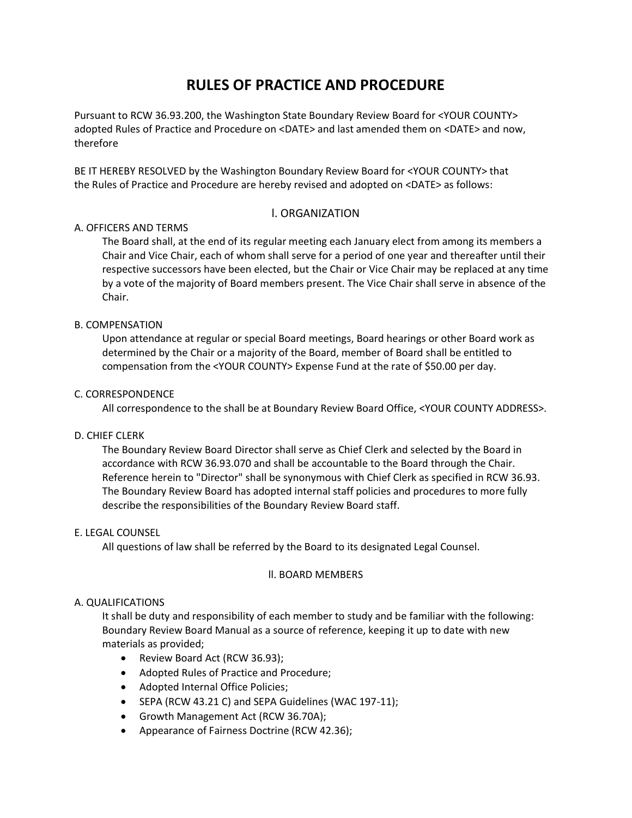# **RULES OF PRACTICE AND PROCEDURE**

Pursuant to RCW 36.93.200, the Washington State Boundary Review Board for <YOUR COUNTY> adopted Rules of Practice and Procedure on <DATE> and last amended them on <DATE> and now, therefore

BE IT HEREBY RESOLVED by the Washington Boundary Review Board for <YOUR COUNTY> that the Rules of Practice and Procedure are hereby revised and adopted on <DATE> as follows:

# l. ORGANIZATION

# A. OFFICERS AND TERMS

The Board shall, at the end of its regular meeting each January elect from among its members a Chair and Vice Chair, each of whom shall serve for a period of one year and thereafter until their respective successors have been elected, but the Chair or Vice Chair may be replaced at any time by a vote of the majority of Board members present. The Vice Chair shall serve in absence of the Chair.

# B. COMPENSATION

Upon attendance at regular or special Board meetings, Board hearings or other Board work as determined by the Chair or a majority of the Board, member of Board shall be entitled to compensation from the <YOUR COUNTY> Expense Fund at the rate of \$50.00 per day.

# C. CORRESPONDENCE

All correspondence to the shall be at Boundary Review Board Office, <YOUR COUNTY ADDRESS>.

# D. CHIEF CLERK

The Boundary Review Board Director shall serve as Chief Clerk and selected by the Board in accordance with RCW 36.93.070 and shall be accountable to the Board through the Chair. Reference herein to "Director" shall be synonymous with Chief Clerk as specified in RCW 36.93. The Boundary Review Board has adopted internal staff policies and procedures to more fully describe the responsibilities of the Boundary Review Board staff.

# E. LEGAL COUNSEL

All questions of law shall be referred by the Board to its designated Legal Counsel.

# ll. BOARD MEMBERS

# A. QUALIFICATIONS

It shall be duty and responsibility of each member to study and be familiar with the following: Boundary Review Board Manual as a source of reference, keeping it up to date with new materials as provided;

- Review Board Act (RCW 36.93);
- Adopted Rules of Practice and Procedure;
- Adopted Internal Office Policies;
- SEPA (RCW 43.21 C) and SEPA Guidelines (WAC 197-11);
- Growth Management Act (RCW 36.70A);
- Appearance of Fairness Doctrine (RCW 42.36);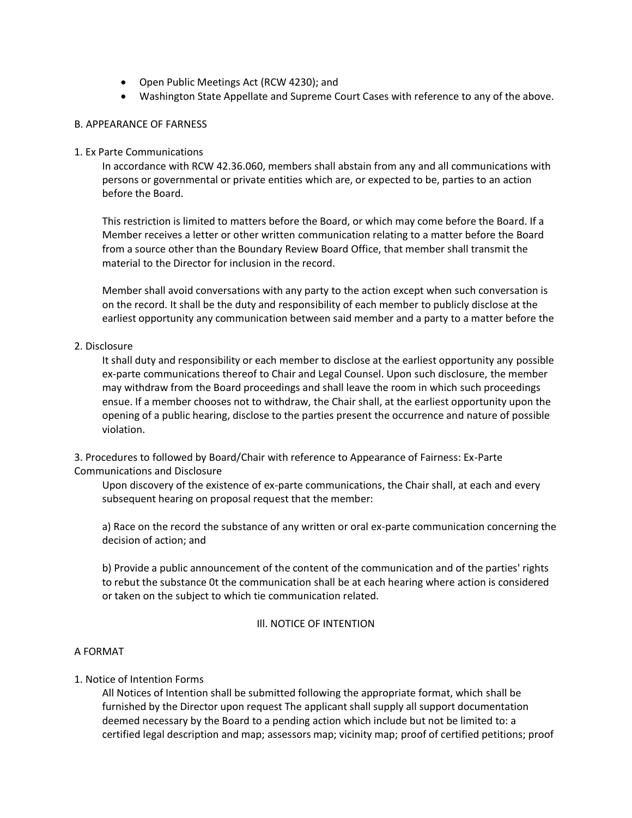- Open Public Meetings Act (RCW 4230); and
- Washington State Appellate and Supreme Court Cases with reference to any of the above.

# B. APPEARANCE OF FARNESS

## 1. Ex Parte Communications

In accordance with RCW 42.36.060, members shall abstain from any and all communications with persons or governmental or private entities which are, or expected to be, parties to an action before the Board.

This restriction is limited to matters before the Board, or which may come before the Board. If a Member receives a letter or other written communication relating to a matter before the Board from a source other than the Boundary Review Board Office, that member shall transmit the material to the Director for inclusion in the record.

Member shall avoid conversations with any party to the action except when such conversation is on the record. It shall be the duty and responsibility of each member to publicly disclose at the earliest opportunity any communication between said member and a party to a matter before the

## 2. Disclosure

It shall duty and responsibility or each member to disclose at the earliest opportunity any possible ex-parte communications thereof to Chair and Legal Counsel. Upon such disclosure, the member may withdraw from the Board proceedings and shall leave the room in which such proceedings ensue. If a member chooses not to withdraw, the Chair shall, at the earliest opportunity upon the opening of a public hearing, disclose to the parties present the occurrence and nature of possible violation.

3. Procedures to followed by Board/Chair with reference to Appearance of Fairness: Ex-Parte Communications and Disclosure

Upon discovery of the existence of ex-parte communications, the Chair shall, at each and every subsequent hearing on proposal request that the member:

a) Race on the record the substance of any written or oral ex-parte communication concerning the decision of action; and

b) Provide a public announcement of the content of the communication and of the parties' rights to rebut the substance 0t the communication shall be at each hearing where action is considered or taken on the subject to which tie communication related.

#### Ill. NOTICE OF INTENTION

#### A FORMAT

# 1. Notice of Intention Forms

All Notices of Intention shall be submitted following the appropriate format, which shall be furnished by the Director upon request The applicant shall supply all support documentation deemed necessary by the Board to a pending action which include but not be limited to: a certified legal description and map; assessors map; vicinity map; proof of certified petitions; proof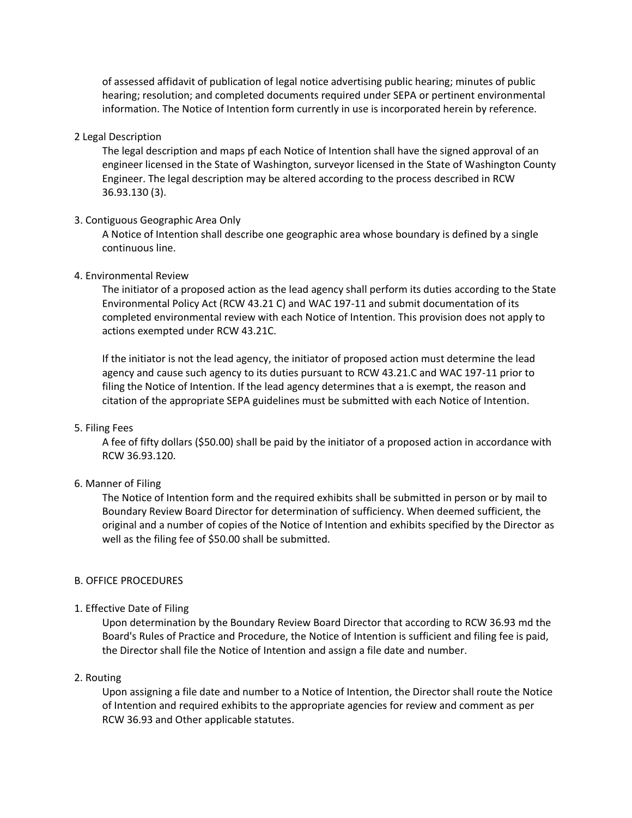of assessed affidavit of publication of legal notice advertising public hearing; minutes of public hearing; resolution; and completed documents required under SEPA or pertinent environmental information. The Notice of Intention form currently in use is incorporated herein by reference.

## 2 Legal Description

The legal description and maps pf each Notice of Intention shall have the signed approval of an engineer licensed in the State of Washington, surveyor licensed in the State of Washington County Engineer. The legal description may be altered according to the process described in RCW 36.93.130 (3).

# 3. Contiguous Geographic Area Only

A Notice of Intention shall describe one geographic area whose boundary is defined by a single continuous line.

## 4. Environmental Review

The initiator of a proposed action as the lead agency shall perform its duties according to the State Environmental Policy Act (RCW 43.21 C) and WAC 197-11 and submit documentation of its completed environmental review with each Notice of Intention. This provision does not apply to actions exempted under RCW 43.21C.

If the initiator is not the lead agency, the initiator of proposed action must determine the lead agency and cause such agency to its duties pursuant to RCW 43.21.C and WAC 197-11 prior to filing the Notice of Intention. If the lead agency determines that a is exempt, the reason and citation of the appropriate SEPA guidelines must be submitted with each Notice of Intention.

#### 5. Filing Fees

A fee of fifty dollars (\$50.00) shall be paid by the initiator of a proposed action in accordance with RCW 36.93.120.

# 6. Manner of Filing

The Notice of Intention form and the required exhibits shall be submitted in person or by mail to Boundary Review Board Director for determination of sufficiency. When deemed sufficient, the original and a number of copies of the Notice of Intention and exhibits specified by the Director as well as the filing fee of \$50.00 shall be submitted.

#### B. OFFICE PROCEDURES

# 1. Effective Date of Filing

Upon determination by the Boundary Review Board Director that according to RCW 36.93 md the Board's Rules of Practice and Procedure, the Notice of Intention is sufficient and filing fee is paid, the Director shall file the Notice of Intention and assign a file date and number.

#### 2. Routing

Upon assigning a file date and number to a Notice of Intention, the Director shall route the Notice of Intention and required exhibits to the appropriate agencies for review and comment as per RCW 36.93 and Other applicable statutes.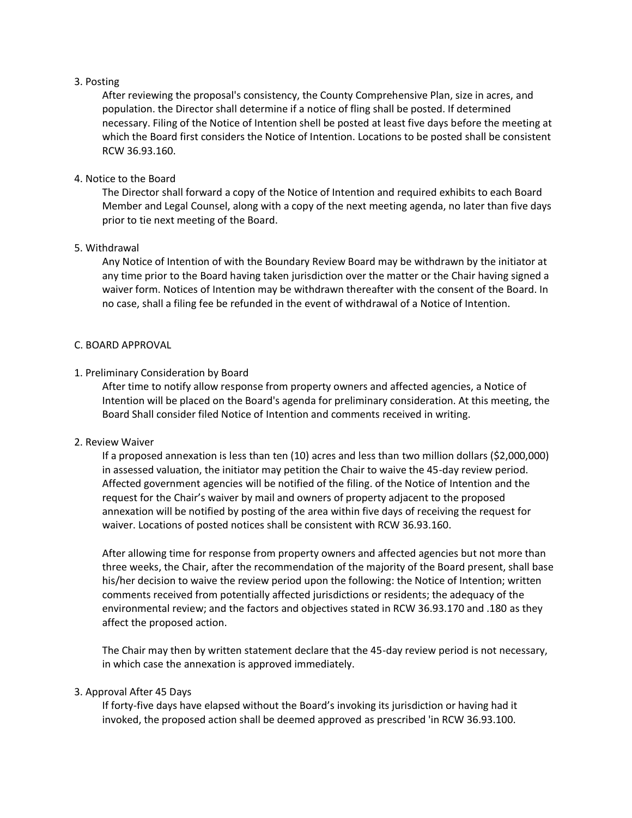## 3. Posting

After reviewing the proposal's consistency, the County Comprehensive Plan, size in acres, and population. the Director shall determine if a notice of fling shall be posted. If determined necessary. Filing of the Notice of Intention shell be posted at least five days before the meeting at which the Board first considers the Notice of Intention. Locations to be posted shall be consistent RCW 36.93.160.

## 4. Notice to the Board

The Director shall forward a copy of the Notice of Intention and required exhibits to each Board Member and Legal Counsel, along with a copy of the next meeting agenda, no later than five days prior to tie next meeting of the Board.

## 5. Withdrawal

Any Notice of Intention of with the Boundary Review Board may be withdrawn by the initiator at any time prior to the Board having taken jurisdiction over the matter or the Chair having signed a waiver form. Notices of Intention may be withdrawn thereafter with the consent of the Board. In no case, shall a filing fee be refunded in the event of withdrawal of a Notice of Intention.

## C. BOARD APPROVAL

## 1. Preliminary Consideration by Board

After time to notify allow response from property owners and affected agencies, a Notice of Intention will be placed on the Board's agenda for preliminary consideration. At this meeting, the Board Shall consider filed Notice of Intention and comments received in writing.

#### 2. Review Waiver

If a proposed annexation is less than ten (10) acres and less than two million dollars (\$2,000,000) in assessed valuation, the initiator may petition the Chair to waive the 45-day review period. Affected government agencies will be notified of the filing. of the Notice of Intention and the request for the Chair's waiver by mail and owners of property adjacent to the proposed annexation will be notified by posting of the area within five days of receiving the request for waiver. Locations of posted notices shall be consistent with RCW 36.93.160.

After allowing time for response from property owners and affected agencies but not more than three weeks, the Chair, after the recommendation of the majority of the Board present, shall base his/her decision to waive the review period upon the following: the Notice of Intention; written comments received from potentially affected jurisdictions or residents; the adequacy of the environmental review; and the factors and objectives stated in RCW 36.93.170 and .180 as they affect the proposed action.

The Chair may then by written statement declare that the 45-day review period is not necessary, in which case the annexation is approved immediately.

## 3. Approval After 45 Days

If forty-five days have elapsed without the Board's invoking its jurisdiction or having had it invoked, the proposed action shall be deemed approved as prescribed 'in RCW 36.93.100.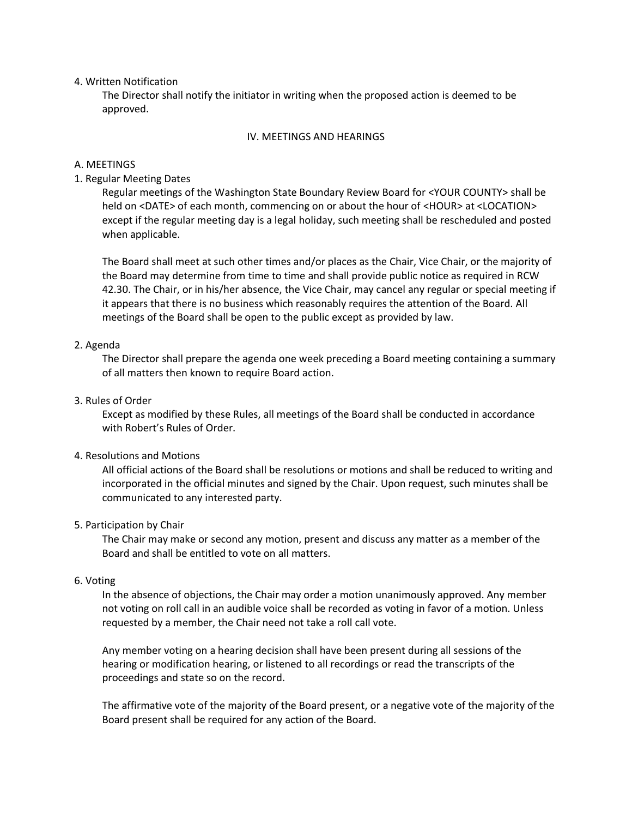#### 4. Written Notification

The Director shall notify the initiator in writing when the proposed action is deemed to be approved.

#### IV. MEETINGS AND HEARINGS

## A. MEETINGS

## 1. Regular Meeting Dates

Regular meetings of the Washington State Boundary Review Board for <YOUR COUNTY> shall be held on <DATE> of each month, commencing on or about the hour of <HOUR> at <LOCATION> except if the regular meeting day is a legal holiday, such meeting shall be rescheduled and posted when applicable.

The Board shall meet at such other times and/or places as the Chair, Vice Chair, or the majority of the Board may determine from time to time and shall provide public notice as required in RCW 42.30. The Chair, or in his/her absence, the Vice Chair, may cancel any regular or special meeting if it appears that there is no business which reasonably requires the attention of the Board. All meetings of the Board shall be open to the public except as provided by law.

## 2. Agenda

The Director shall prepare the agenda one week preceding a Board meeting containing a summary of all matters then known to require Board action.

#### 3. Rules of Order

Except as modified by these Rules, all meetings of the Board shall be conducted in accordance with Robert's Rules of Order.

## 4. Resolutions and Motions

All official actions of the Board shall be resolutions or motions and shall be reduced to writing and incorporated in the official minutes and signed by the Chair. Upon request, such minutes shall be communicated to any interested party.

#### 5. Participation by Chair

The Chair may make or second any motion, present and discuss any matter as a member of the Board and shall be entitled to vote on all matters.

#### 6. Voting

In the absence of objections, the Chair may order a motion unanimously approved. Any member not voting on roll call in an audible voice shall be recorded as voting in favor of a motion. Unless requested by a member, the Chair need not take a roll call vote.

Any member voting on a hearing decision shall have been present during all sessions of the hearing or modification hearing, or listened to all recordings or read the transcripts of the proceedings and state so on the record.

The affirmative vote of the majority of the Board present, or a negative vote of the majority of the Board present shall be required for any action of the Board.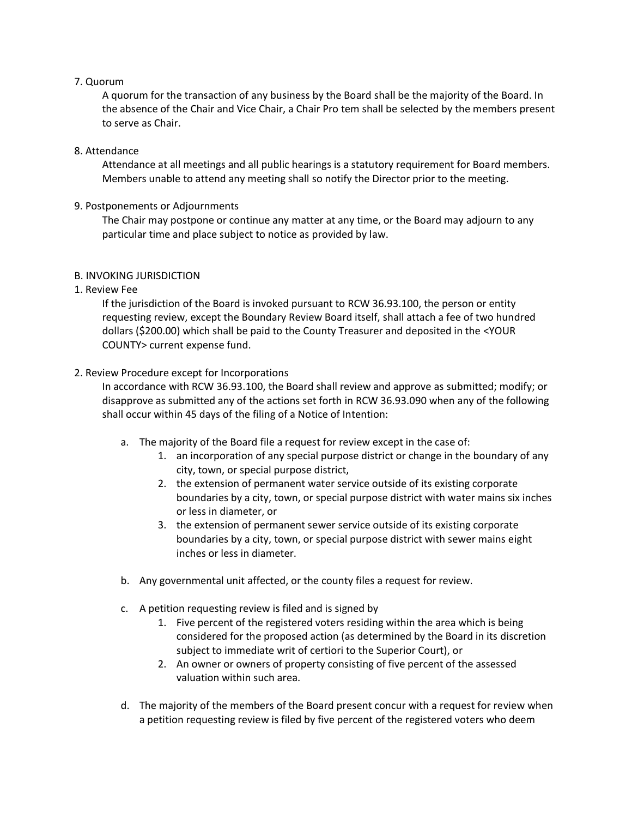# 7. Quorum

A quorum for the transaction of any business by the Board shall be the majority of the Board. In the absence of the Chair and Vice Chair, a Chair Pro tem shall be selected by the members present to serve as Chair.

# 8. Attendance

Attendance at all meetings and all public hearings is a statutory requirement for Board members. Members unable to attend any meeting shall so notify the Director prior to the meeting.

# 9. Postponements or Adjournments

The Chair may postpone or continue any matter at any time, or the Board may adjourn to any particular time and place subject to notice as provided by law.

# B. INVOKING JURISDICTION

# 1. Review Fee

If the jurisdiction of the Board is invoked pursuant to RCW 36.93.100, the person or entity requesting review, except the Boundary Review Board itself, shall attach a fee of two hundred dollars (\$200.00) which shall be paid to the County Treasurer and deposited in the <YOUR COUNTY> current expense fund.

# 2. Review Procedure except for Incorporations

In accordance with RCW 36.93.100, the Board shall review and approve as submitted; modify; or disapprove as submitted any of the actions set forth in RCW 36.93.090 when any of the following shall occur within 45 days of the filing of a Notice of Intention:

- a. The majority of the Board file a request for review except in the case of:
	- 1. an incorporation of any special purpose district or change in the boundary of any city, town, or special purpose district,
	- 2. the extension of permanent water service outside of its existing corporate boundaries by a city, town, or special purpose district with water mains six inches or less in diameter, or
	- 3. the extension of permanent sewer service outside of its existing corporate boundaries by a city, town, or special purpose district with sewer mains eight inches or less in diameter.
- b. Any governmental unit affected, or the county files a request for review.
- c. A petition requesting review is filed and is signed by
	- 1. Five percent of the registered voters residing within the area which is being considered for the proposed action (as determined by the Board in its discretion subject to immediate writ of certiori to the Superior Court), or
	- 2. An owner or owners of property consisting of five percent of the assessed valuation within such area.
- d. The majority of the members of the Board present concur with a request for review when a petition requesting review is filed by five percent of the registered voters who deem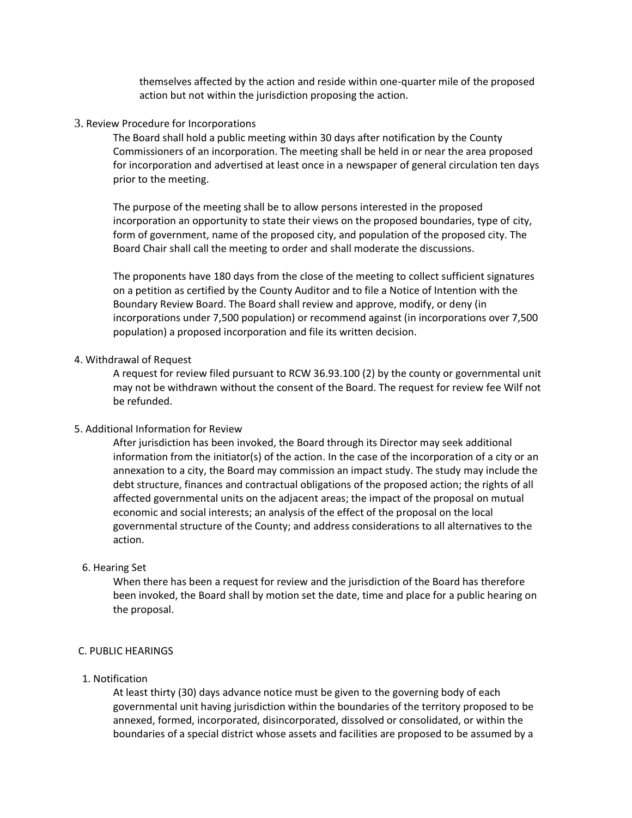themselves affected by the action and reside within one-quarter mile of the proposed action but not within the jurisdiction proposing the action.

3. Review Procedure for Incorporations

The Board shall hold a public meeting within 30 days after notification by the County Commissioners of an incorporation. The meeting shall be held in or near the area proposed for incorporation and advertised at least once in a newspaper of general circulation ten days prior to the meeting.

The purpose of the meeting shall be to allow persons interested in the proposed incorporation an opportunity to state their views on the proposed boundaries, type of city, form of government, name of the proposed city, and population of the proposed city. The Board Chair shall call the meeting to order and shall moderate the discussions.

The proponents have 180 days from the close of the meeting to collect sufficient signatures on a petition as certified by the County Auditor and to file a Notice of Intention with the Boundary Review Board. The Board shall review and approve, modify, or deny (in incorporations under 7,500 population) or recommend against (in incorporations over 7,500 population) a proposed incorporation and file its written decision.

#### 4. Withdrawal of Request

A request for review filed pursuant to RCW 36.93.100 (2) by the county or governmental unit may not be withdrawn without the consent of the Board. The request for review fee Wilf not be refunded.

## 5. Additional Information for Review

After jurisdiction has been invoked, the Board through its Director may seek additional information from the initiator(s) of the action. In the case of the incorporation of a city or an annexation to a city, the Board may commission an impact study. The study may include the debt structure, finances and contractual obligations of the proposed action; the rights of all affected governmental units on the adjacent areas; the impact of the proposal on mutual economic and social interests; an analysis of the effect of the proposal on the local governmental structure of the County; and address considerations to all alternatives to the action.

#### 6. Hearing Set

When there has been a request for review and the jurisdiction of the Board has therefore been invoked, the Board shall by motion set the date, time and place for a public hearing on the proposal.

## C. PUBLIC HEARINGS

#### 1. Notification

At least thirty (30) days advance notice must be given to the governing body of each governmental unit having jurisdiction within the boundaries of the territory proposed to be annexed, formed, incorporated, disincorporated, dissolved or consolidated, or within the boundaries of a special district whose assets and facilities are proposed to be assumed by a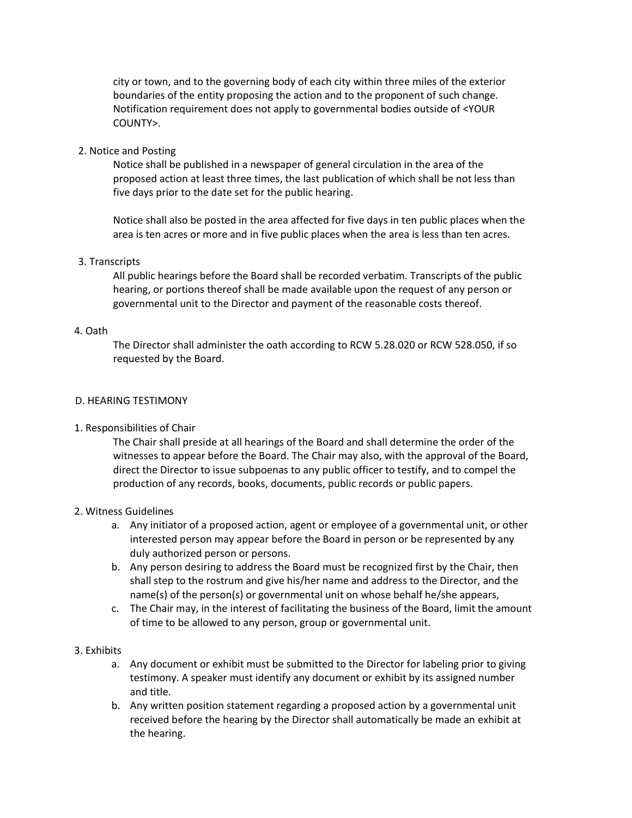city or town, and to the governing body of each city within three miles of the exterior boundaries of the entity proposing the action and to the proponent of such change. Notification requirement does not apply to governmental bodies outside of <YOUR COUNTY>.

## 2. Notice and Posting

Notice shall be published in a newspaper of general circulation in the area of the proposed action at least three times, the last publication of which shall be not less than five days prior to the date set for the public hearing.

Notice shall also be posted in the area affected for five days in ten public places when the area is ten acres or more and in five public places when the area is less than ten acres.

## 3. Transcripts

All public hearings before the Board shall be recorded verbatim. Transcripts of the public hearing, or portions thereof shall be made available upon the request of any person or governmental unit to the Director and payment of the reasonable costs thereof.

## 4. Oath

The Director shall administer the oath according to RCW 5.28.020 or RCW 528.050, if so requested by the Board.

## D. HEARING TESTIMONY

#### 1. Responsibilities of Chair

The Chair shall preside at all hearings of the Board and shall determine the order of the witnesses to appear before the Board. The Chair may also, with the approval of the Board, direct the Director to issue subpoenas to any public officer to testify, and to compel the production of any records, books, documents, public records or public papers.

## 2. Witness Guidelines

- a. Any initiator of a proposed action, agent or employee of a governmental unit, or other interested person may appear before the Board in person or be represented by any duly authorized person or persons.
- b. Any person desiring to address the Board must be recognized first by the Chair, then shall step to the rostrum and give his/her name and address to the Director, and the name(s) of the person(s) or governmental unit on whose behalf he/she appears,
- c. The Chair may, in the interest of facilitating the business of the Board, limit the amount of time to be allowed to any person, group or governmental unit.

## 3. Exhibits

- a. Any document or exhibit must be submitted to the Director for labeling prior to giving testimony. A speaker must identify any document or exhibit by its assigned number and title.
- b. Any written position statement regarding a proposed action by a governmental unit received before the hearing by the Director shall automatically be made an exhibit at the hearing.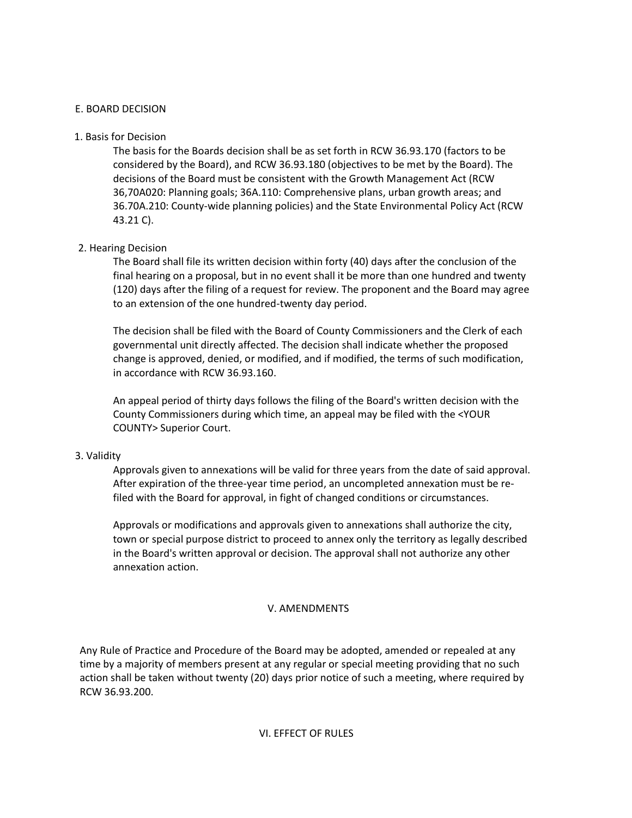## E. BOARD DECISION

## 1. Basis for Decision

The basis for the Boards decision shall be as set forth in RCW 36.93.170 (factors to be considered by the Board), and RCW 36.93.180 (objectives to be met by the Board). The decisions of the Board must be consistent with the Growth Management Act (RCW 36,70A020: Planning goals; 36A.110: Comprehensive plans, urban growth areas; and 36.70A.210: County-wide planning policies) and the State Environmental Policy Act (RCW 43.21 C).

# 2. Hearing Decision

The Board shall file its written decision within forty (40) days after the conclusion of the final hearing on a proposal, but in no event shall it be more than one hundred and twenty (120) days after the filing of a request for review. The proponent and the Board may agree to an extension of the one hundred-twenty day period.

The decision shall be filed with the Board of County Commissioners and the Clerk of each governmental unit directly affected. The decision shall indicate whether the proposed change is approved, denied, or modified, and if modified, the terms of such modification, in accordance with RCW 36.93.160.

An appeal period of thirty days follows the filing of the Board's written decision with the County Commissioners during which time, an appeal may be filed with the <YOUR COUNTY> Superior Court.

## 3. Validity

Approvals given to annexations will be valid for three years from the date of said approval. After expiration of the three-year time period, an uncompleted annexation must be refiled with the Board for approval, in fight of changed conditions or circumstances.

Approvals or modifications and approvals given to annexations shall authorize the city, town or special purpose district to proceed to annex only the territory as legally described in the Board's written approval or decision. The approval shall not authorize any other annexation action.

#### V. AMENDMENTS

Any Rule of Practice and Procedure of the Board may be adopted, amended or repealed at any time by a majority of members present at any regular or special meeting providing that no such action shall be taken without twenty (20) days prior notice of such a meeting, where required by RCW 36.93.200.

#### VI. EFFECT OF RULES